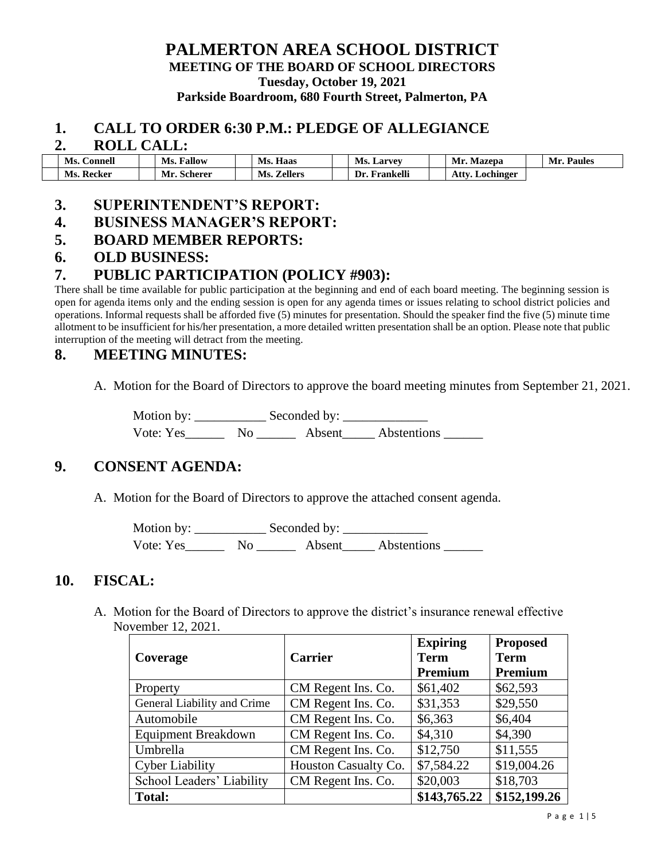# **PALMERTON AREA SCHOOL DISTRICT MEETING OF THE BOARD OF SCHOOL DIRECTORS**

**Tuesday, October 19, 2021**

**Parkside Boardroom, 680 Fourth Street, Palmerton, PA**

#### **1. CALL TO ORDER 6:30 P.M.: PLEDGE OF ALLEGIANCE**

#### **2. ROLL CALL:**

| Ms.<br>. `onnell | <b>Fallow</b><br>Ms. | Haas<br>Ms.           | <b>Ms. Larvey</b> | Mr.<br>Mazepa      | Mr.<br>$\mathbf{p}_{\mathbf{a}\mathbf{u}\mathbf{le}\mathbf{s}}$ |
|------------------|----------------------|-----------------------|-------------------|--------------------|-----------------------------------------------------------------|
| Ms.<br>Recker    | Mr.<br>. Scherer     | <b>Zellers</b><br>Ms. | Frankelli<br>Dr   | Lochinger<br>Attv. |                                                                 |

### **3. SUPERINTENDENT'S REPORT:**

### **4. BUSINESS MANAGER'S REPORT:**

#### **5. BOARD MEMBER REPORTS:**

### **6. OLD BUSINESS:**

### **7. PUBLIC PARTICIPATION (POLICY #903):**

There shall be time available for public participation at the beginning and end of each board meeting. The beginning session is open for agenda items only and the ending session is open for any agenda times or issues relating to school district policies and operations. Informal requests shall be afforded five (5) minutes for presentation. Should the speaker find the five (5) minute time allotment to be insufficient for his/her presentation, a more detailed written presentation shall be an option. Please note that public interruption of the meeting will detract from the meeting.

### **8. MEETING MINUTES:**

A. Motion for the Board of Directors to approve the board meeting minutes from September 21, 2021.

Motion by: \_\_\_\_\_\_\_\_\_\_\_ Seconded by: \_\_\_\_\_\_\_\_\_\_\_\_\_ Vote: Yes\_\_\_\_\_\_ No \_\_\_\_\_\_ Absent\_\_\_\_\_ Abstentions \_\_\_\_\_\_

## **9. CONSENT AGENDA:**

A. Motion for the Board of Directors to approve the attached consent agenda.

Motion by: Seconded by: Vote: Yes\_\_\_\_\_\_\_\_ No \_\_\_\_\_\_\_\_ Absent\_\_\_\_\_\_ Abstentions \_\_\_\_\_

### **10. FISCAL:**

A. Motion for the Board of Directors to approve the district's insurance renewal effective November 12, 2021.

| Coverage                    | <b>Carrier</b>       | <b>Expiring</b><br><b>Term</b> | <b>Proposed</b><br><b>Term</b> |  |
|-----------------------------|----------------------|--------------------------------|--------------------------------|--|
|                             |                      | Premium                        | Premium                        |  |
| Property                    | CM Regent Ins. Co.   | \$61,402                       | \$62,593                       |  |
| General Liability and Crime | CM Regent Ins. Co.   | \$31,353                       | \$29,550                       |  |
| Automobile                  | CM Regent Ins. Co.   | \$6,363                        | \$6,404                        |  |
| <b>Equipment Breakdown</b>  | CM Regent Ins. Co.   | \$4,310                        | \$4,390                        |  |
| Umbrella                    | CM Regent Ins. Co.   | \$12,750                       | \$11,555                       |  |
| <b>Cyber Liability</b>      | Houston Casualty Co. | \$7,584.22                     | \$19,004.26                    |  |
| School Leaders' Liability   | CM Regent Ins. Co.   | \$20,003                       | \$18,703                       |  |
| <b>Total:</b>               |                      | \$143,765.22                   | \$152,199.26                   |  |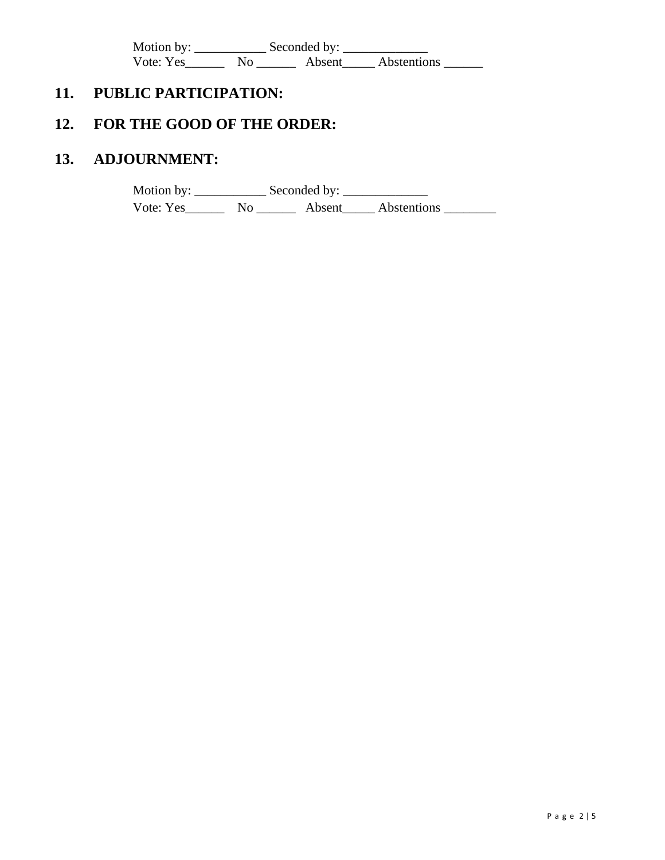Motion by: \_\_\_\_\_\_\_\_\_\_\_ Seconded by: \_\_\_\_\_\_\_\_\_\_\_\_\_ Vote: Yes\_\_\_\_\_\_\_\_ No \_\_\_\_\_\_\_\_ Absent\_\_\_\_\_\_ Abstentions \_\_\_\_\_\_\_

# **11. PUBLIC PARTICIPATION:**

# **12. FOR THE GOOD OF THE ORDER:**

# **13. ADJOURNMENT:**

Motion by: \_\_\_\_\_\_\_\_\_\_\_ Seconded by: \_\_\_\_\_\_\_\_\_\_\_\_\_ Vote: Yes\_\_\_\_\_\_\_\_ No \_\_\_\_\_\_\_\_ Absent\_\_\_\_\_\_ Abstentions \_\_\_\_\_\_\_\_\_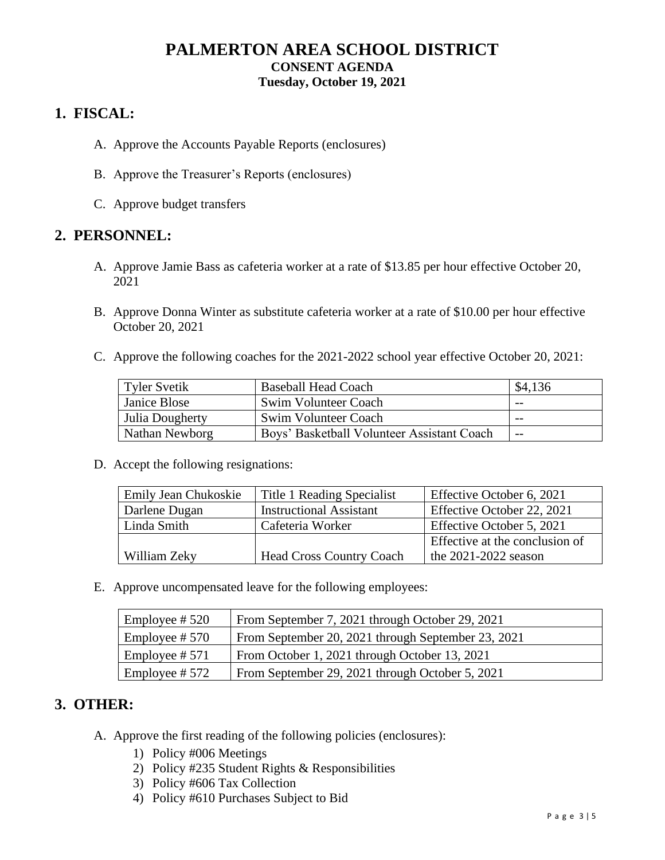## **PALMERTON AREA SCHOOL DISTRICT CONSENT AGENDA Tuesday, October 19, 2021**

## **1. FISCAL:**

- A. Approve the Accounts Payable Reports (enclosures)
- B. Approve the Treasurer's Reports (enclosures)
- C. Approve budget transfers

## **2. PERSONNEL:**

- A. Approve Jamie Bass as cafeteria worker at a rate of \$13.85 per hour effective October 20, 2021
- B. Approve Donna Winter as substitute cafeteria worker at a rate of \$10.00 per hour effective October 20, 2021
- C. Approve the following coaches for the 2021-2022 school year effective October 20, 2021:

| Tyler Svetik    | <b>Baseball Head Coach</b>                 | \$4,136 |
|-----------------|--------------------------------------------|---------|
| Janice Blose    | Swim Volunteer Coach                       | $ -$    |
| Julia Dougherty | Swim Volunteer Coach                       | $- -$   |
| Nathan Newborg  | Boys' Basketball Volunteer Assistant Coach | $- -$   |

D. Accept the following resignations:

| Emily Jean Chukoskie | Title 1 Reading Specialist      | Effective October 6, 2021      |  |  |
|----------------------|---------------------------------|--------------------------------|--|--|
| Darlene Dugan        | <b>Instructional Assistant</b>  | Effective October 22, 2021     |  |  |
| Linda Smith          | Cafeteria Worker                | Effective October 5, 2021      |  |  |
|                      |                                 | Effective at the conclusion of |  |  |
| William Zekv         | <b>Head Cross Country Coach</b> | the $2021-2022$ season         |  |  |

E. Approve uncompensated leave for the following employees:

| Employee # $520$ | From September 7, 2021 through October 29, 2021    |
|------------------|----------------------------------------------------|
| Employee # $570$ | From September 20, 2021 through September 23, 2021 |
| Employee # 571   | From October 1, 2021 through October 13, 2021      |
| Employee #572    | From September 29, 2021 through October 5, 2021    |

### **3. OTHER:**

- A. Approve the first reading of the following policies (enclosures):
	- 1) Policy #006 Meetings
	- 2) Policy #235 Student Rights & Responsibilities
	- 3) Policy #606 Tax Collection
	- 4) Policy #610 Purchases Subject to Bid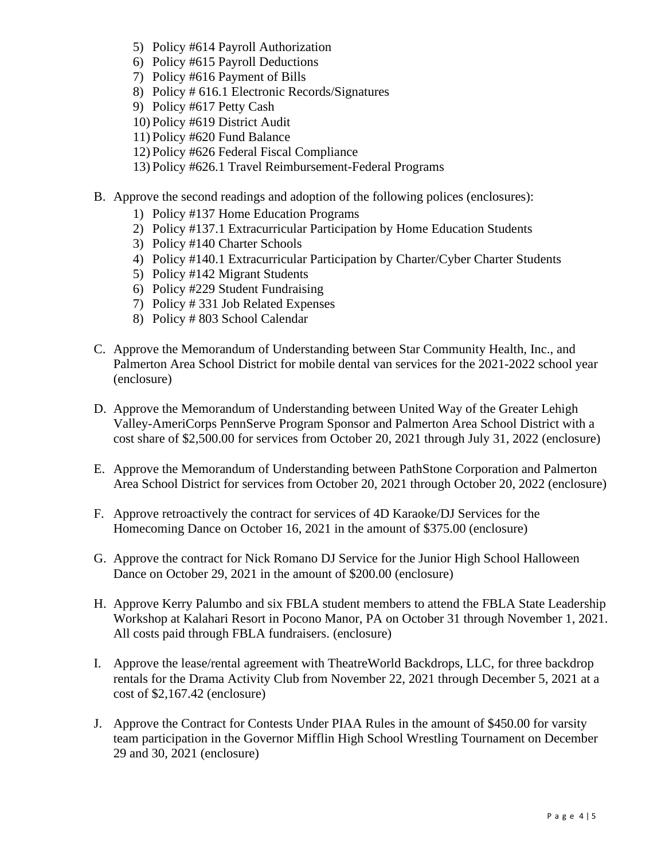- 5) Policy #614 Payroll Authorization
- 6) Policy #615 Payroll Deductions
- 7) Policy #616 Payment of Bills
- 8) Policy # 616.1 Electronic Records/Signatures
- 9) Policy #617 Petty Cash
- 10) Policy #619 District Audit
- 11) Policy #620 Fund Balance
- 12) Policy #626 Federal Fiscal Compliance
- 13) Policy #626.1 Travel Reimbursement-Federal Programs
- B. Approve the second readings and adoption of the following polices (enclosures):
	- 1) Policy #137 Home Education Programs
	- 2) Policy #137.1 Extracurricular Participation by Home Education Students
	- 3) Policy #140 Charter Schools
	- 4) Policy #140.1 Extracurricular Participation by Charter/Cyber Charter Students
	- 5) Policy #142 Migrant Students
	- 6) Policy #229 Student Fundraising
	- 7) Policy # 331 Job Related Expenses
	- 8) Policy # 803 School Calendar
- C. Approve the Memorandum of Understanding between Star Community Health, Inc., and Palmerton Area School District for mobile dental van services for the 2021-2022 school year (enclosure)
- D. Approve the Memorandum of Understanding between United Way of the Greater Lehigh Valley-AmeriCorps PennServe Program Sponsor and Palmerton Area School District with a cost share of \$2,500.00 for services from October 20, 2021 through July 31, 2022 (enclosure)
- E. Approve the Memorandum of Understanding between PathStone Corporation and Palmerton Area School District for services from October 20, 2021 through October 20, 2022 (enclosure)
- F. Approve retroactively the contract for services of 4D Karaoke/DJ Services for the Homecoming Dance on October 16, 2021 in the amount of \$375.00 (enclosure)
- G. Approve the contract for Nick Romano DJ Service for the Junior High School Halloween Dance on October 29, 2021 in the amount of \$200.00 (enclosure)
- H. Approve Kerry Palumbo and six FBLA student members to attend the FBLA State Leadership Workshop at Kalahari Resort in Pocono Manor, PA on October 31 through November 1, 2021. All costs paid through FBLA fundraisers. (enclosure)
- I. Approve the lease/rental agreement with TheatreWorld Backdrops, LLC, for three backdrop rentals for the Drama Activity Club from November 22, 2021 through December 5, 2021 at a cost of \$2,167.42 (enclosure)
- J. Approve the Contract for Contests Under PIAA Rules in the amount of \$450.00 for varsity team participation in the Governor Mifflin High School Wrestling Tournament on December 29 and 30, 2021 (enclosure)